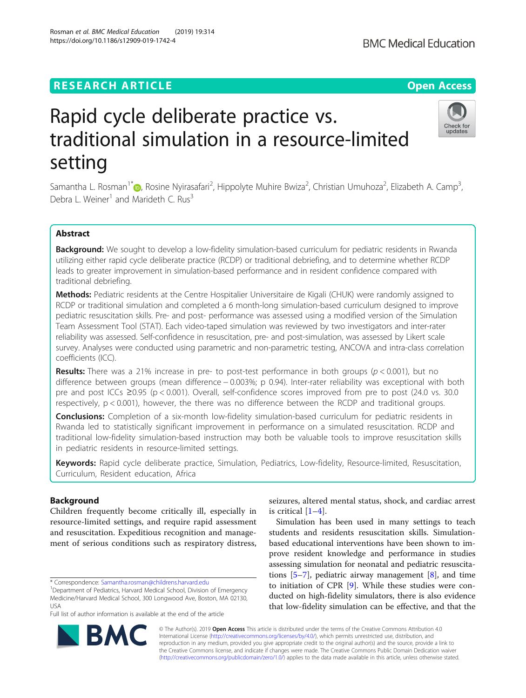## **RESEARCH ARTICLE Example 2014 12:30 The Contract of Contract ACCESS**

# Rapid cycle deliberate practice vs. traditional simulation in a resource-limited setting

Samantha L. Rosman<sup>1\*</sup> (**b**[,](http://orcid.org/0000-0002-2225-9115) Rosine Nyirasafari<sup>2</sup>, Hippolyte Muhire Bwiza<sup>2</sup>, Christian Umuhoza<sup>2</sup>, Elizabeth A. Camp<sup>3</sup> , Debra L. Weiner<sup>1</sup> and Marideth C. Rus<sup>3</sup>

## Abstract

Background: We sought to develop a low-fidelity simulation-based curriculum for pediatric residents in Rwanda utilizing either rapid cycle deliberate practice (RCDP) or traditional debriefing, and to determine whether RCDP leads to greater improvement in simulation-based performance and in resident confidence compared with traditional debriefing.

Methods: Pediatric residents at the Centre Hospitalier Universitaire de Kigali (CHUK) were randomly assigned to RCDP or traditional simulation and completed a 6 month-long simulation-based curriculum designed to improve pediatric resuscitation skills. Pre- and post- performance was assessed using a modified version of the Simulation Team Assessment Tool (STAT). Each video-taped simulation was reviewed by two investigators and inter-rater reliability was assessed. Self-confidence in resuscitation, pre- and post-simulation, was assessed by Likert scale survey. Analyses were conducted using parametric and non-parametric testing, ANCOVA and intra-class correlation coefficients (ICC).

**Results:** There was a 21% increase in pre- to post-test performance in both groups ( $p < 0.001$ ), but no difference between groups (mean difference − 0.003%; p 0.94). Inter-rater reliability was exceptional with both pre and post ICCs ≥0.95 (p < 0.001). Overall, self-confidence scores improved from pre to post (24.0 vs. 30.0 respectively, p < 0.001), however, the there was no difference between the RCDP and traditional groups.

**Conclusions:** Completion of a six-month low-fidelity simulation-based curriculum for pediatric residents in Rwanda led to statistically significant improvement in performance on a simulated resuscitation. RCDP and traditional low-fidelity simulation-based instruction may both be valuable tools to improve resuscitation skills in pediatric residents in resource-limited settings.

Keywords: Rapid cycle deliberate practice, Simulation, Pediatrics, Low-fidelity, Resource-limited, Resuscitation, Curriculum, Resident education, Africa

## Background

Children frequently become critically ill, especially in resource-limited settings, and require rapid assessment and resuscitation. Expeditious recognition and management of serious conditions such as respiratory distress,

\* Correspondence: [Samantha.rosman@childrens.harvard.edu](mailto:Samantha.rosman@childrens.harvard.edu) <sup>1</sup>

**BM** 

Full list of author information is available at the end of the article

seizures, altered mental status, shock, and cardiac arrest is critical  $[1-4]$  $[1-4]$  $[1-4]$  $[1-4]$ .

Simulation has been used in many settings to teach students and residents resuscitation skills. Simulationbased educational interventions have been shown to improve resident knowledge and performance in studies assessing simulation for neonatal and pediatric resuscitations  $[5-7]$  $[5-7]$  $[5-7]$  $[5-7]$ , pediatric airway management  $[8]$  $[8]$ , and time to initiation of CPR [[9\]](#page-7-0). While these studies were conducted on high-fidelity simulators, there is also evidence that low-fidelity simulation can be effective, and that the

© The Author(s). 2019 **Open Access** This article is distributed under the terms of the Creative Commons Attribution 4.0 International License [\(http://creativecommons.org/licenses/by/4.0/](http://creativecommons.org/licenses/by/4.0/)), which permits unrestricted use, distribution, and reproduction in any medium, provided you give appropriate credit to the original author(s) and the source, provide a link to the Creative Commons license, and indicate if changes were made. The Creative Commons Public Domain Dedication waiver [\(http://creativecommons.org/publicdomain/zero/1.0/](http://creativecommons.org/publicdomain/zero/1.0/)) applies to the data made available in this article, unless otherwise stated.







<sup>&</sup>lt;sup>1</sup>Department of Pediatrics, Harvard Medical School, Division of Emergency Medicine/Harvard Medical School, 300 Longwood Ave, Boston, MA 02130, USA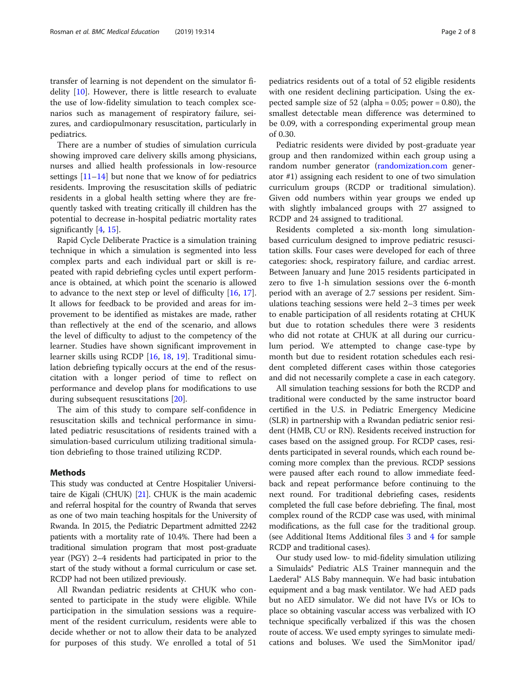transfer of learning is not dependent on the simulator fidelity [\[10](#page-7-0)]. However, there is little research to evaluate the use of low-fidelity simulation to teach complex scenarios such as management of respiratory failure, seizures, and cardiopulmonary resuscitation, particularly in pediatrics.

There are a number of studies of simulation curricula showing improved care delivery skills among physicians, nurses and allied health professionals in low-resource settings [[11](#page-7-0)–[14\]](#page-7-0) but none that we know of for pediatrics residents. Improving the resuscitation skills of pediatric residents in a global health setting where they are frequently tasked with treating critically ill children has the potential to decrease in-hospital pediatric mortality rates significantly [[4,](#page-6-0) [15](#page-7-0)].

Rapid Cycle Deliberate Practice is a simulation training technique in which a simulation is segmented into less complex parts and each individual part or skill is repeated with rapid debriefing cycles until expert performance is obtained, at which point the scenario is allowed to advance to the next step or level of difficulty [\[16,](#page-7-0) [17](#page-7-0)]. It allows for feedback to be provided and areas for improvement to be identified as mistakes are made, rather than reflectively at the end of the scenario, and allows the level of difficulty to adjust to the competency of the learner. Studies have shown significant improvement in learner skills using RCDP [\[16,](#page-7-0) [18](#page-7-0), [19](#page-7-0)]. Traditional simulation debriefing typically occurs at the end of the resuscitation with a longer period of time to reflect on performance and develop plans for modifications to use during subsequent resuscitations [[20\]](#page-7-0).

The aim of this study to compare self-confidence in resuscitation skills and technical performance in simulated pediatric resuscitations of residents trained with a simulation-based curriculum utilizing traditional simulation debriefing to those trained utilizing RCDP.

## Methods

This study was conducted at Centre Hospitalier Universitaire de Kigali (CHUK) [\[21](#page-7-0)]. CHUK is the main academic and referral hospital for the country of Rwanda that serves as one of two main teaching hospitals for the University of Rwanda. In 2015, the Pediatric Department admitted 2242 patients with a mortality rate of 10.4%. There had been a traditional simulation program that most post-graduate year (PGY) 2–4 residents had participated in prior to the start of the study without a formal curriculum or case set. RCDP had not been utilized previously.

All Rwandan pediatric residents at CHUK who consented to participate in the study were eligible. While participation in the simulation sessions was a requirement of the resident curriculum, residents were able to decide whether or not to allow their data to be analyzed for purposes of this study. We enrolled a total of 51

pediatrics residents out of a total of 52 eligible residents with one resident declining participation. Using the expected sample size of  $52$  (alpha = 0.05; power = 0.80), the smallest detectable mean difference was determined to be 0.09, with a corresponding experimental group mean of 0.30.

Pediatric residents were divided by post-graduate year group and then randomized within each group using a random number generator ([randomization.com](http://randomization.com) generator #1) assigning each resident to one of two simulation curriculum groups (RCDP or traditional simulation). Given odd numbers within year groups we ended up with slightly imbalanced groups with 27 assigned to RCDP and 24 assigned to traditional.

Residents completed a six-month long simulationbased curriculum designed to improve pediatric resuscitation skills. Four cases were developed for each of three categories: shock, respiratory failure, and cardiac arrest. Between January and June 2015 residents participated in zero to five 1-h simulation sessions over the 6-month period with an average of 2.7 sessions per resident. Simulations teaching sessions were held 2–3 times per week to enable participation of all residents rotating at CHUK but due to rotation schedules there were 3 residents who did not rotate at CHUK at all during our curriculum period. We attempted to change case-type by month but due to resident rotation schedules each resident completed different cases within those categories and did not necessarily complete a case in each category.

All simulation teaching sessions for both the RCDP and traditional were conducted by the same instructor board certified in the U.S. in Pediatric Emergency Medicine (SLR) in partnership with a Rwandan pediatric senior resident (HMB, CU or RN). Residents received instruction for cases based on the assigned group. For RCDP cases, residents participated in several rounds, which each round becoming more complex than the previous. RCDP sessions were paused after each round to allow immediate feedback and repeat performance before continuing to the next round. For traditional debriefing cases, residents completed the full case before debriefing. The final, most complex round of the RCDP case was used, with minimal modifications, as the full case for the traditional group. (see Additional Items Additional files [3](#page-6-0) and [4](#page-6-0) for sample RCDP and traditional cases).

Our study used low- to mid-fidelity simulation utilizing a Simulaids® Pediatric ALS Trainer mannequin and the Laederal® ALS Baby mannequin. We had basic intubation equipment and a bag mask ventilator. We had AED pads but no AED simulator. We did not have IVs or IOs to place so obtaining vascular access was verbalized with IO technique specifically verbalized if this was the chosen route of access. We used empty syringes to simulate medications and boluses. We used the SimMonitor ipad/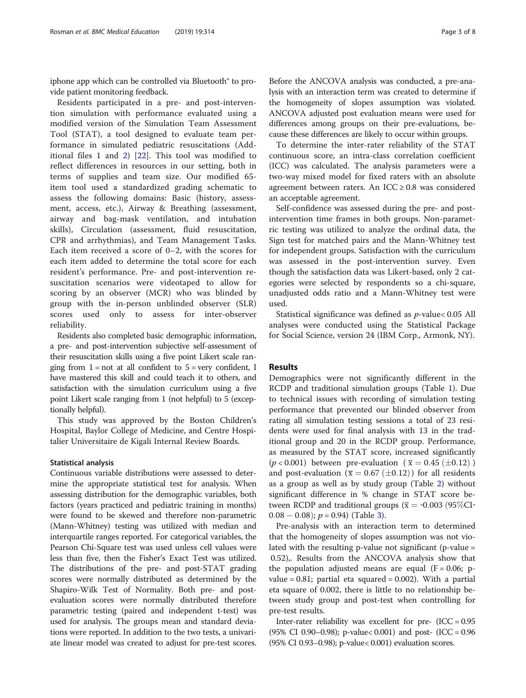iphone app which can be controlled via Bluetooth<sup>®</sup> to provide patient monitoring feedback.

Residents participated in a pre- and post-intervention simulation with performance evaluated using a modified version of the Simulation Team Assessment Tool (STAT), a tool designed to evaluate team performance in simulated pediatric resuscitations (Additional files [1](#page-6-0) and [2](#page-6-0)) [[22\]](#page-7-0). This tool was modified to reflect differences in resources in our setting, both in terms of supplies and team size. Our modified 65 item tool used a standardized grading schematic to assess the following domains: Basic (history, assessment, access, etc.), Airway & Breathing (assessment, airway and bag-mask ventilation, and intubation skills), Circulation (assessment, fluid resuscitation, CPR and arrhythmias), and Team Management Tasks. Each item received a score of 0–2, with the scores for each item added to determine the total score for each resident's performance. Pre- and post-intervention resuscitation scenarios were videotaped to allow for scoring by an observer (MCR) who was blinded by group with the in-person unblinded observer (SLR) scores used only to assess for inter-observer reliability.

Residents also completed basic demographic information, a pre- and post-intervention subjective self-assessment of their resuscitation skills using a five point Likert scale ranging from  $1 = not$  at all confident to  $5 = very$  confident, I have mastered this skill and could teach it to others, and satisfaction with the simulation curriculum using a five point Likert scale ranging from 1 (not helpful) to 5 (exceptionally helpful).

This study was approved by the Boston Children's Hospital, Baylor College of Medicine, and Centre Hospitalier Universitaire de Kigali Internal Review Boards.

## Statistical analysis

Continuous variable distributions were assessed to determine the appropriate statistical test for analysis. When assessing distribution for the demographic variables, both factors (years practiced and pediatric training in months) were found to be skewed and therefore non-parametric (Mann-Whitney) testing was utilized with median and interquartile ranges reported. For categorical variables, the Pearson Chi-Square test was used unless cell values were less than five, then the Fisher's Exact Test was utilized. The distributions of the pre- and post-STAT grading scores were normally distributed as determined by the Shapiro-Wilk Test of Normality. Both pre- and postevaluation scores were normally distributed therefore parametric testing (paired and independent t-test) was used for analysis. The groups mean and standard deviations were reported. In addition to the two tests, a univariate linear model was created to adjust for pre-test scores.

Before the ANCOVA analysis was conducted, a pre-analysis with an interaction term was created to determine if the homogeneity of slopes assumption was violated. ANCOVA adjusted post evaluation means were used for differences among groups on their pre-evaluations, because these differences are likely to occur within groups.

To determine the inter-rater reliability of the STAT continuous score, an intra-class correlation coefficient (ICC) was calculated. The analysis parameters were a two-way mixed model for fixed raters with an absolute agreement between raters. An ICC  $\geq$  0.8 was considered an acceptable agreement.

Self-confidence was assessed during the pre- and postintervention time frames in both groups. Non-parametric testing was utilized to analyze the ordinal data, the Sign test for matched pairs and the Mann-Whitney test for independent groups. Satisfaction with the curriculum was assessed in the post-intervention survey. Even though the satisfaction data was Likert-based, only 2 categories were selected by respondents so a chi-square, unadjusted odds ratio and a Mann-Whitney test were used.

Statistical significance was defined as p-value< 0.05 All analyses were conducted using the Statistical Package for Social Science, version 24 (IBM Corp., Armonk, NY).

## Results

Demographics were not significantly different in the RCDP and traditional simulation groups (Table [1\)](#page-3-0). Due to technical issues with recording of simulation testing performance that prevented our blinded observer from rating all simulation testing sessions a total of 23 residents were used for final analysis with 13 in the traditional group and 20 in the RCDP group. Performance, as measured by the STAT score, increased significantly (*p* < 0.001) between pre-evaluation ( $\bar{x} = 0.45 \ (\pm 0.12)$ ) and post-evaluation ( $\bar{x} = 0.67 \ (\pm 0.12)$ ) for all residents as a group as well as by study group (Table [2\)](#page-3-0) without significant difference in % change in STAT score between RCDP and traditional groups ( $\overline{x}$  = -0.003 (95%CI- $(0.08 - 0.08); p = 0.94$  (Table [3\)](#page-4-0).

Pre-analysis with an interaction term to determined that the homogeneity of slopes assumption was not violated with the resulting p-value not significant (p-value = 0.52),. Results from the ANCOVA analysis show that the population adjusted means are equal  $(F = 0.06; p$ value =  $0.81$ ; partial eta squared =  $0.002$ ). With a partial eta square of 0.002, there is little to no relationship between study group and post-test when controlling for pre-test results.

Inter-rater reliability was excellent for pre-  $(ICC = 0.95)$ (95% CI 0.90–0.98); p-value< 0.001) and post- (ICC = 0.96 (95% CI 0.93–0.98); p-value< 0.001) evaluation scores.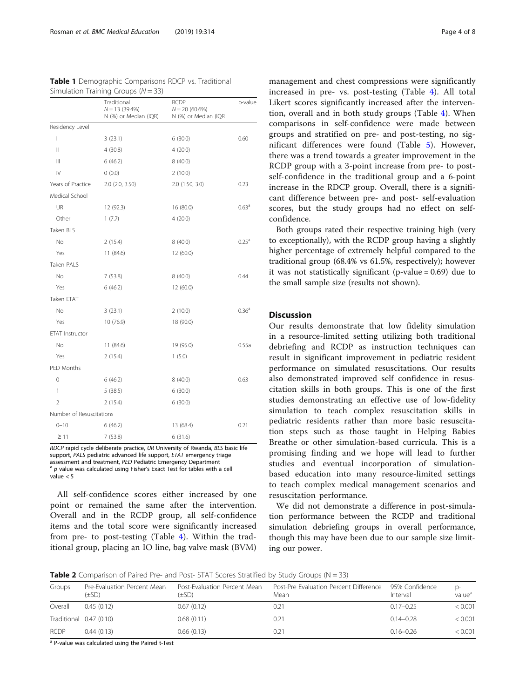|                          | Traditional<br>$N = 13(39.4\%)$<br>N (%) or Median (IQR) | RCDP<br>$N = 20(60.6\%)$<br>N (%) or Median (IQR | p-value           |
|--------------------------|----------------------------------------------------------|--------------------------------------------------|-------------------|
| Residency Level          |                                                          |                                                  |                   |
| L                        | 3(23.1)                                                  | 6(30.0)                                          | 0.60              |
| Ш                        | 4(30.8)                                                  | 4(20.0)                                          |                   |
| $\parallel \parallel$    | 6(46.2)                                                  | 8 (40.0)                                         |                   |
| $\mathsf{IV}$            | 0(0.0)                                                   | 2(10.0)                                          |                   |
| Years of Practice        | 2.0 (2.0, 3.50)                                          | 2.0 (1.50, 3.0)                                  | 0.23              |
| Medical School           |                                                          |                                                  |                   |
| UR                       | 12 (92.3)                                                | 16 (80.0)                                        | 0.63 <sup>a</sup> |
| Other                    | 1(7.7)                                                   | 4(20.0)                                          |                   |
| Taken BLS                |                                                          |                                                  |                   |
| No                       | 2(15.4)                                                  | 8(40.0)                                          | 0.25 <sup>a</sup> |
| Yes                      | 11 (84.6)                                                | 12 (60.0)                                        |                   |
| Taken PALS               |                                                          |                                                  |                   |
| No                       | 7(53.8)                                                  | 8(40.0)                                          | 0.44              |
| Yes                      | 6(46.2)                                                  | 12 (60.0)                                        |                   |
| Taken ETAT               |                                                          |                                                  |                   |
| No                       | 3(23.1)                                                  | 2(10.0)                                          | 0.36 <sup>a</sup> |
| Yes                      | 10 (76.9)                                                | 18 (90.0)                                        |                   |
| <b>ETAT Instructor</b>   |                                                          |                                                  |                   |
| No                       | 11 (84.6)                                                | 19 (95.0)                                        | 0.55a             |
| Yes                      | 2(15.4)                                                  | 1(5.0)                                           |                   |
| PED Months               |                                                          |                                                  |                   |
| 0                        | 6(46.2)                                                  | 8 (40.0)                                         | 0.63              |
| 1                        | 5(38.5)                                                  | 6(30.0)                                          |                   |
| $\overline{2}$           | 2(15.4)                                                  | 6(30.0)                                          |                   |
| Number of Resuscitations |                                                          |                                                  |                   |
| $0 - 10$                 | 6(46.2)                                                  | 13 (68.4)                                        | 0.21              |
| $\geq$ 11                | 7(53.8)                                                  | 6(31.6)                                          |                   |

<span id="page-3-0"></span>Table 1 Demographic Comparisons RDCP vs. Traditional Simulation Training Groups  $(N = 33)$ 

RDCP rapid cycle deliberate practice, UR University of Rwanda, BLS basic life support, PALS pediatric advanced life support, ETAT emergency triage assessment and treatment, PED Pediatric Emergency Department  $a$  p value was calculated using Fisher's Exact Test for tables with a cell value < 5

All self-confidence scores either increased by one point or remained the same after the intervention. Overall and in the RCDP group, all self-confidence items and the total score were significantly increased from pre- to post-testing (Table [4\)](#page-4-0). Within the traditional group, placing an IO line, bag valve mask (BVM) management and chest compressions were significantly increased in pre- vs. post-testing (Table [4\)](#page-4-0). All total Likert scores significantly increased after the intervention, overall and in both study groups (Table [4](#page-4-0)). When comparisons in self-confidence were made between groups and stratified on pre- and post-testing, no significant differences were found (Table [5\)](#page-5-0). However, there was a trend towards a greater improvement in the RCDP group with a 3-point increase from pre- to postself-confidence in the traditional group and a 6-point increase in the RDCP group. Overall, there is a significant difference between pre- and post- self-evaluation scores, but the study groups had no effect on selfconfidence.

Both groups rated their respective training high (very to exceptionally), with the RCDP group having a slightly higher percentage of extremely helpful compared to the traditional group (68.4% vs 61.5%, respectively); however it was not statistically significant (p-value = 0.69) due to the small sample size (results not shown).

## **Discussion**

Our results demonstrate that low fidelity simulation in a resource-limited setting utilizing both traditional debriefing and RCDP as instruction techniques can result in significant improvement in pediatric resident performance on simulated resuscitations. Our results also demonstrated improved self confidence in resuscitation skills in both groups. This is one of the first studies demonstrating an effective use of low-fidelity simulation to teach complex resuscitation skills in pediatric residents rather than more basic resuscitation steps such as those taught in Helping Babies Breathe or other simulation-based curricula. This is a promising finding and we hope will lead to further studies and eventual incorporation of simulationbased education into many resource-limited settings to teach complex medical management scenarios and resuscitation performance.

We did not demonstrate a difference in post-simulation performance between the RCDP and traditional simulation debriefing groups in overall performance, though this may have been due to our sample size limiting our power.

**Table 2** Comparison of Paired Pre- and Post- STAT Scores Stratified by Study Groups ( $N = 33$ )

| Groups      | Pre-Evaluation Percent Mean<br>$(\pm SD)$ | Post-Evaluation Percent Mean<br>$(\pm SD)$ | Post-Pre Evaluation Percent Difference<br>Mean | 95% Confidence<br>Interval | p-<br>value <sup>a</sup> |
|-------------|-------------------------------------------|--------------------------------------------|------------------------------------------------|----------------------------|--------------------------|
| Overall     | 0.45(0.12)                                | 0.67(0.12)                                 | 0.21                                           | $0.17 - 0.25$              | < 0.001                  |
|             | Traditional 0.47 (0.10)                   | 0.68(0.11)                                 | 0.21                                           | $0.14 - 0.28$              | < 0.001                  |
| <b>RCDP</b> | 0.44(0.13)                                | 0.66(0.13)                                 | 0.21                                           | $0.16 - 0.26$              | < 0.001                  |

<sup>a</sup> P-value was calculated using the Paired t-Test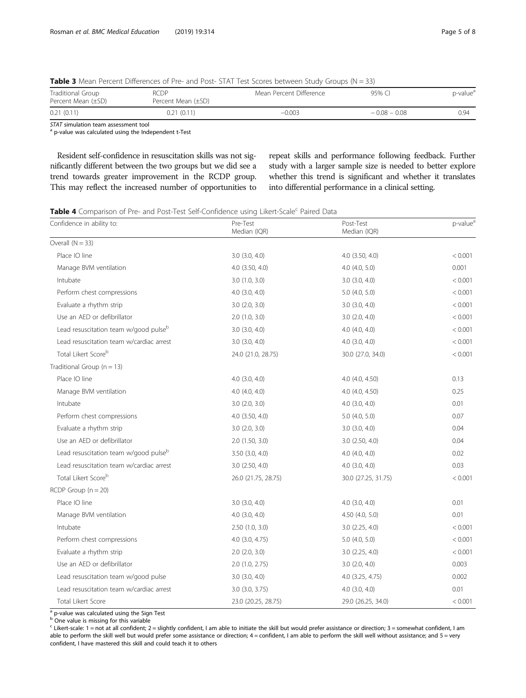<span id="page-4-0"></span>**Table 3** Mean Percent Differences of Pre- and Post- STAT Test Scores between Study Groups ( $N = 33$ )

| Traditional Group<br>Percent Mean (±SD) | <b>RCDP</b><br>Percent Mean (±SD) | Mean Percent Difference | 95% CI         | p-value <sup>d</sup> |
|-----------------------------------------|-----------------------------------|-------------------------|----------------|----------------------|
| 0.21(0.11)                              | 0.21(0.11)                        | $-0.003$                | $-0.08 - 0.08$ | 0.94                 |

 $STAT$  simulation team assessment tool<br><sup>a</sup> p-value was calculated using the Independent t-Test

Resident self-confidence in resuscitation skills was not significantly different between the two groups but we did see a trend towards greater improvement in the RCDP group. This may reflect the increased number of opportunities to repeat skills and performance following feedback. Further study with a larger sample size is needed to better explore whether this trend is significant and whether it translates into differential performance in a clinical setting.

|  |  | Table 4 Comparison of Pre- and Post-Test Self-Confidence using Likert-Scale <sup>c</sup> Paired Data |  |  |
|--|--|------------------------------------------------------------------------------------------------------|--|--|
|  |  |                                                                                                      |  |  |

| Confidence in ability to:                         | Pre-Test<br>Median (IQR) | Post-Test<br>Median (IQR) | p-value <sup>a</sup> |
|---------------------------------------------------|--------------------------|---------------------------|----------------------|
| Overall $(N = 33)$                                |                          |                           |                      |
| Place IO line                                     | $3.0$ $(3.0, 4.0)$       | 4.0 (3.50, 4.0)           | < 0.001              |
| Manage BVM ventilation                            | $4.0$ $(3.50, 4.0)$      | $4.0$ $(4.0, 5.0)$        | 0.001                |
| Intubate                                          | $3.0$ $(1.0, 3.0)$       | $3.0$ $(3.0, 4.0)$        | < 0.001              |
| Perform chest compressions                        | $4.0$ $(3.0, 4.0)$       | $5.0$ (4.0, 5.0)          | < 0.001              |
| Evaluate a rhythm strip                           | $3.0$ $(2.0, 3.0)$       | $3.0$ $(3.0, 4.0)$        | < 0.001              |
| Use an AED or defibrillator                       | $2.0$ $(1.0, 3.0)$       | $3.0$ $(2.0, 4.0)$        | < 0.001              |
| Lead resuscitation team w/good pulseb             | $3.0$ $(3.0, 4.0)$       | $4.0$ $(4.0, 4.0)$        | < 0.001              |
| Lead resuscitation team w/cardiac arrest          | $3.0$ $(3.0, 4.0)$       | $4.0$ $(3.0, 4.0)$        | < 0.001              |
| Total Likert Scoreb                               | 24.0 (21.0, 28.75)       | 30.0 (27.0, 34.0)         | < 0.001              |
| Traditional Group ( $n = 13$ )                    |                          |                           |                      |
| Place IO line                                     | $4.0$ $(3.0, 4.0)$       | 4.0 (4.0, 4.50)           | 0.13                 |
| Manage BVM ventilation                            | $4.0$ $(4.0, 4.0)$       | 4.0 (4.0, 4.50)           | 0.25                 |
| Intubate                                          | $3.0$ $(2.0, 3.0)$       | $4.0$ $(3.0, 4.0)$        | 0.01                 |
| Perform chest compressions                        | $4.0$ $(3.50, 4.0)$      | $5.0$ (4.0, 5.0)          | 0.07                 |
| Evaluate a rhythm strip                           | $3.0$ $(2.0, 3.0)$       | $3.0$ $(3.0, 4.0)$        | 0.04                 |
| Use an AED or defibrillator                       | $2.0$ $(1.50, 3.0)$      | $3.0$ $(2.50, 4.0)$       | 0.04                 |
| Lead resuscitation team w/good pulse <sup>b</sup> | $3.50$ $(3.0, 4.0)$      | $4.0$ $(4.0, 4.0)$        | 0.02                 |
| Lead resuscitation team w/cardiac arrest          | $3.0$ $(2.50, 4.0)$      | $4.0$ $(3.0, 4.0)$        | 0.03                 |
| Total Likert Score <sup>b</sup>                   | 26.0 (21.75, 28.75)      | 30.0 (27.25, 31.75)       | < 0.001              |
| $RCDP$ Group ( $n = 20$ )                         |                          |                           |                      |
| Place IO line                                     | $3.0$ $(3.0, 4.0)$       | $4.0$ $(3.0, 4.0)$        | 0.01                 |
| Manage BVM ventilation                            | $4.0$ $(3.0, 4.0)$       | 4.50(4.0, 5.0)            | 0.01                 |
| Intubate                                          | 2.50(1.0, 3.0)           | $3.0$ (2.25, 4.0)         | < 0.001              |
| Perform chest compressions                        | 4.0 (3.0, 4.75)          | $5.0$ (4.0, 5.0)          | < 0.001              |
| Evaluate a rhythm strip                           | $2.0$ $(2.0, 3.0)$       | $3.0$ $(2.25, 4.0)$       | < 0.001              |
| Use an AED or defibrillator                       | $2.0$ (1.0, 2.75)        | $3.0$ $(2.0, 4.0)$        | 0.003                |
| Lead resuscitation team w/good pulse              | $3.0$ $(3.0, 4.0)$       | 4.0 (3.25, 4.75)          | 0.002                |
| Lead resuscitation team w/cardiac arrest          | 3.0 (3.0, 3.75)          | $4.0$ $(3.0, 4.0)$        | 0.01                 |
| Total Likert Score                                | 23.0 (20.25, 28.75)      | 29.0 (26.25, 34.0)        | < 0.001              |

<sup>a</sup> p-value was calculated using the Sign Test

b One value is missing for this variable

 $c$  Likert-scale: 1 = not at all confident; 2 = slightly confident, I am able to initiate the skill but would prefer assistance or direction; 3 = somewhat confident, I am able to perform the skill well but would prefer some assistance or direction; 4 = confident, I am able to perform the skill well without assistance; and 5 = very confident, I have mastered this skill and could teach it to others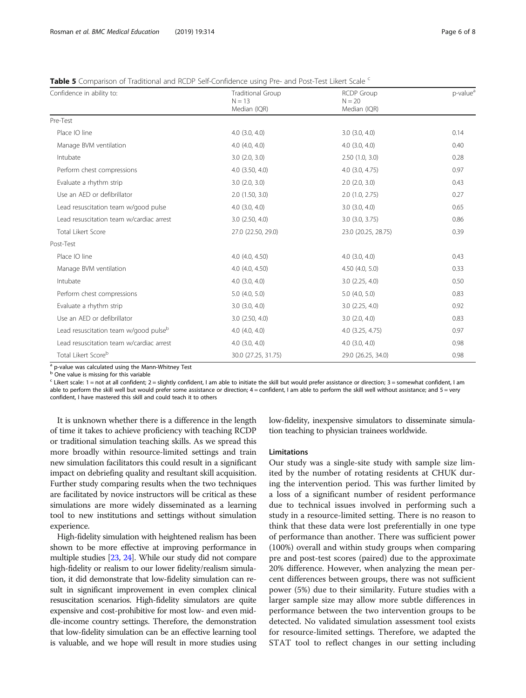<span id="page-5-0"></span>

|  |  |  | Table 5 Comparison of Traditional and RCDP Self-Confidence using Pre- and Post-Test Likert Scale <sup>c</sup> |
|--|--|--|---------------------------------------------------------------------------------------------------------------|
|  |  |  |                                                                                                               |

| Companion of magnetical and nepthod mached ability included obtained enterto beate<br>Confidence in ability to: | <b>Traditional Group</b><br>$N = 13$ | <b>RCDP Group</b><br>$N = 20$ | p-value <sup>a</sup> |
|-----------------------------------------------------------------------------------------------------------------|--------------------------------------|-------------------------------|----------------------|
|                                                                                                                 | Median (IQR)                         | Median (IQR)                  |                      |
| Pre-Test                                                                                                        |                                      |                               |                      |
| Place IO line                                                                                                   | $4.0$ $(3.0, 4.0)$                   | $3.0$ $(3.0, 4.0)$            | 0.14                 |
| Manage BVM ventilation                                                                                          | $4.0$ $(4.0, 4.0)$                   | $4.0$ $(3.0, 4.0)$            | 0.40                 |
| Intubate                                                                                                        | $3.0$ $(2.0, 3.0)$                   | 2.50(1.0, 3.0)                | 0.28                 |
| Perform chest compressions                                                                                      | $4.0$ $(3.50, 4.0)$                  | $4.0$ $(3.0, 4.75)$           | 0.97                 |
| Evaluate a rhythm strip                                                                                         | $3.0$ $(2.0, 3.0)$                   | $2.0$ $(2.0, 3.0)$            | 0.43                 |
| Use an AED or defibrillator                                                                                     | $2.0$ (1.50, 3.0)                    | $2.0$ (1.0, 2.75)             | 0.27                 |
| Lead resuscitation team w/good pulse                                                                            | $4.0$ $(3.0, 4.0)$                   | $3.0$ $(3.0, 4.0)$            | 0.65                 |
| Lead resuscitation team w/cardiac arrest                                                                        | 3.0(2.50, 4.0)                       | $3.0$ $(3.0, 3.75)$           | 0.86                 |
| Total Likert Score                                                                                              | 27.0 (22.50, 29.0)                   | 23.0 (20.25, 28.75)           | 0.39                 |
| Post-Test                                                                                                       |                                      |                               |                      |
| Place IO line                                                                                                   | $4.0$ $(4.0, 4.50)$                  | $4.0$ $(3.0, 4.0)$            | 0.43                 |
| Manage BVM ventilation                                                                                          | $4.0$ $(4.0, 4.50)$                  | 4.50(4.0, 5.0)                | 0.33                 |
| Intubate                                                                                                        | $4.0$ $(3.0, 4.0)$                   | $3.0$ $(2.25, 4.0)$           | 0.50                 |
| Perform chest compressions                                                                                      | $5.0$ (4.0, 5.0)                     | $5.0$ (4.0, 5.0)              | 0.83                 |
| Evaluate a rhythm strip                                                                                         | $3.0$ $(3.0, 4.0)$                   | $3.0$ $(2.25, 4.0)$           | 0.92                 |
| Use an AED or defibrillator                                                                                     | $3.0$ $(2.50, 4.0)$                  | $3.0$ $(2.0, 4.0)$            | 0.83                 |
| Lead resuscitation team w/good pulseb                                                                           | $4.0$ $(4.0, 4.0)$                   | $4.0$ $(3.25, 4.75)$          | 0.97                 |
| Lead resuscitation team w/cardiac arrest                                                                        | $4.0$ $(3.0, 4.0)$                   | $4.0$ $(3.0, 4.0)$            | 0.98                 |
| Total Likert Scoreb                                                                                             | 30.0 (27.25, 31.75)                  | 29.0 (26.25, 34.0)            | 0.98                 |

a p-value was calculated using the Mann-Whitney Test

b One value is missing for this variable

 $c$  Likert scale: 1 = not at all confident; 2 = slightly confident, I am able to initiate the skill but would prefer assistance or direction; 3 = somewhat confident, I am able to perform the skill well but would prefer some assistance or direction;  $4 =$  confident, I am able to perform the skill well without assistance; and  $5 =$  very confident, I have mastered this skill and could teach it to others

It is unknown whether there is a difference in the length of time it takes to achieve proficiency with teaching RCDP or traditional simulation teaching skills. As we spread this more broadly within resource-limited settings and train new simulation facilitators this could result in a significant impact on debriefing quality and resultant skill acquisition. Further study comparing results when the two techniques are facilitated by novice instructors will be critical as these simulations are more widely disseminated as a learning tool to new institutions and settings without simulation experience.

High-fidelity simulation with heightened realism has been shown to be more effective at improving performance in multiple studies [\[23,](#page-7-0) [24](#page-7-0)]. While our study did not compare high-fidelity or realism to our lower fidelity/realism simulation, it did demonstrate that low-fidelity simulation can result in significant improvement in even complex clinical resuscitation scenarios. High-fidelity simulators are quite expensive and cost-prohibitive for most low- and even middle-income country settings. Therefore, the demonstration that low-fidelity simulation can be an effective learning tool is valuable, and we hope will result in more studies using low-fidelity, inexpensive simulators to disseminate simulation teaching to physician trainees worldwide.

## Limitations

Our study was a single-site study with sample size limited by the number of rotating residents at CHUK during the intervention period. This was further limited by a loss of a significant number of resident performance due to technical issues involved in performing such a study in a resource-limited setting. There is no reason to think that these data were lost preferentially in one type of performance than another. There was sufficient power (100%) overall and within study groups when comparing pre and post-test scores (paired) due to the approximate 20% difference. However, when analyzing the mean percent differences between groups, there was not sufficient power (5%) due to their similarity. Future studies with a larger sample size may allow more subtle differences in performance between the two intervention groups to be detected. No validated simulation assessment tool exists for resource-limited settings. Therefore, we adapted the STAT tool to reflect changes in our setting including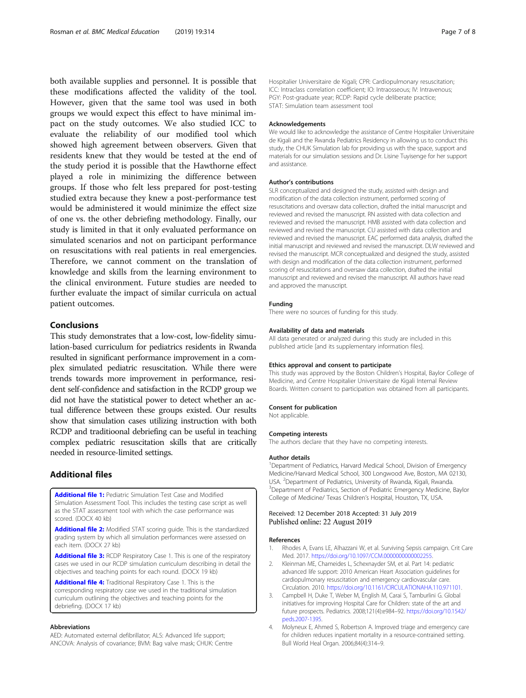<span id="page-6-0"></span>both available supplies and personnel. It is possible that these modifications affected the validity of the tool. However, given that the same tool was used in both groups we would expect this effect to have minimal impact on the study outcomes. We also studied ICC to evaluate the reliability of our modified tool which showed high agreement between observers. Given that residents knew that they would be tested at the end of the study period it is possible that the Hawthorne effect played a role in minimizing the difference between groups. If those who felt less prepared for post-testing studied extra because they knew a post-performance test would be administered it would minimize the effect size of one vs. the other debriefing methodology. Finally, our study is limited in that it only evaluated performance on simulated scenarios and not on participant performance on resuscitations with real patients in real emergencies. Therefore, we cannot comment on the translation of knowledge and skills from the learning environment to the clinical environment. Future studies are needed to further evaluate the impact of similar curricula on actual patient outcomes.

## Conclusions

This study demonstrates that a low-cost, low-fidelity simulation-based curriculum for pediatrics residents in Rwanda resulted in significant performance improvement in a complex simulated pediatric resuscitation. While there were trends towards more improvement in performance, resident self-confidence and satisfaction in the RCDP group we did not have the statistical power to detect whether an actual difference between these groups existed. Our results show that simulation cases utilizing instruction with both RCDP and traditioonal debriefing can be useful in teaching complex pediatric resuscitation skills that are critically needed in resource-limited settings.

## Additional files

[Additional file 1:](https://doi.org/10.1186/s12909-019-1742-4) Pediatric Simulation Test Case and Modified Simulation Assessment Tool. This includes the testing case script as well as the STAT assessment tool with which the case performance was scored. (DOCX 40 kb)

[Additional file 2:](https://doi.org/10.1186/s12909-019-1742-4) Modified STAT scoring guide. This is the standardized grading system by which all simulation performances were assessed on each item. (DOCX 27 kb)

[Additional file 3:](https://doi.org/10.1186/s12909-019-1742-4) RCDP Respiratory Case 1. This is one of the respiratory cases we used in our RCDP simulation curriculum describing in detail the objectives and teaching points for each round. (DOCX 19 kb)

[Additional file 4:](https://doi.org/10.1186/s12909-019-1742-4) Traditional Respiratory Case 1. This is the corresponding respiratory case we used in the traditional simulation curriculum outlining the objectives and teaching points for the debriefing. (DOCX 17 kb)

#### Abbreviations

AED: Automated external defibrillator; ALS: Advanced life support; ANCOVA: Analysis of covariance; BVM: Bag valve mask; CHUK: Centre Hospitalier Universitaire de Kigali; CPR: Cardiopulmonary resuscitation; ICC: Intraclass correlation coefficient; IO: Intraosseous; IV: Intravenous; PGY: Post-graduate year; RCDP: Rapid cycle deliberate practice; STAT: Simulation team assessment tool

#### Acknowledgements

We would like to acknowledge the assistance of Centre Hospitalier Universitaire de Kigali and the Rwanda Pediatrics Residency in allowing us to conduct this study, the CHUK Simulation lab for providing us with the space, support and materials for our simulation sessions and Dr. Lisine Tuyisenge for her support and assistance.

#### Author's contributions

SLR conceptualized and designed the study, assisted with design and modification of the data collection instrument, performed scoring of resuscitations and oversaw data collection, drafted the initial manuscript and reviewed and revised the manuscript. RN assisted with data collection and reviewed and revised the manuscript. HMB assisted with data collection and reviewed and revised the manuscript. CU assisted with data collection and reviewed and revised the manuscript. EAC performed data analysis, drafted the initial manuscript and reviewed and revised the manuscript. DLW reviewed and revised the manuscript. MCR conceptualized and designed the study, assisted with design and modification of the data collection instrument, performed scoring of resuscitations and oversaw data collection, drafted the initial manuscript and reviewed and revised the manuscript. All authors have read and approved the manuscript.

#### Funding

There were no sources of funding for this study.

#### Availability of data and materials

All data generated or analyzed during this study are included in this published article [and its supplementary information files].

#### Ethics approval and consent to participate

This study was approved by the Boston Children's Hospital, Baylor College of Medicine, and Centre Hospitalier Universitaire de Kigali Internal Review Boards. Written consent to participation was obtained from all participants.

#### Consent for publication

Not applicable.

#### Competing interests

The authors declare that they have no competing interests.

#### Author details

<sup>1</sup>Department of Pediatrics, Harvard Medical School, Division of Emergency Medicine/Harvard Medical School, 300 Longwood Ave, Boston, MA 02130, USA. <sup>2</sup> Department of Pediatrics, University of Rwanda, Kigali, Rwanda. <sup>3</sup> <sup>3</sup>Department of Pediatrics, Section of Pediatric Emergency Medicine, Baylor College of Medicine/ Texas Children's Hospital, Houston, TX, USA.

#### Received: 12 December 2018 Accepted: 31 July 2019 Published online: 22 August 2019

#### References

- 1. Rhodes A, Evans LE, Alhazzani W, et al. Surviving Sepsis campaign. Crit Care Med. 2017. <https://doi.org/10.1097/CCM.0000000000002255>.
- 2. Kleinman ME, Chameides L, Schexnayder SM, et al. Part 14: pediatric advanced life support: 2010 American Heart Association guidelines for cardiopulmonary resuscitation and emergency cardiovascular care. Circulation. 2010. <https://doi.org/10.1161/CIRCULATIONAHA.110.971101>.
- 3. Campbell H, Duke T, Weber M, English M, Carai S, Tamburlini G. Global initiatives for improving Hospital Care for Children: state of the art and future prospects. Pediatrics. 2008;121(4):e984–92. [https://doi.org/10.1542/](https://doi.org/10.1542/peds.2007-1395) [peds.2007-1395](https://doi.org/10.1542/peds.2007-1395).
- 4. Molyneux E, Ahmed S, Robertson A. Improved triage and emergency care for children reduces inpatient mortality in a resource-contrained setting. Bull World Heal Organ. 2006;84(4):314–9.